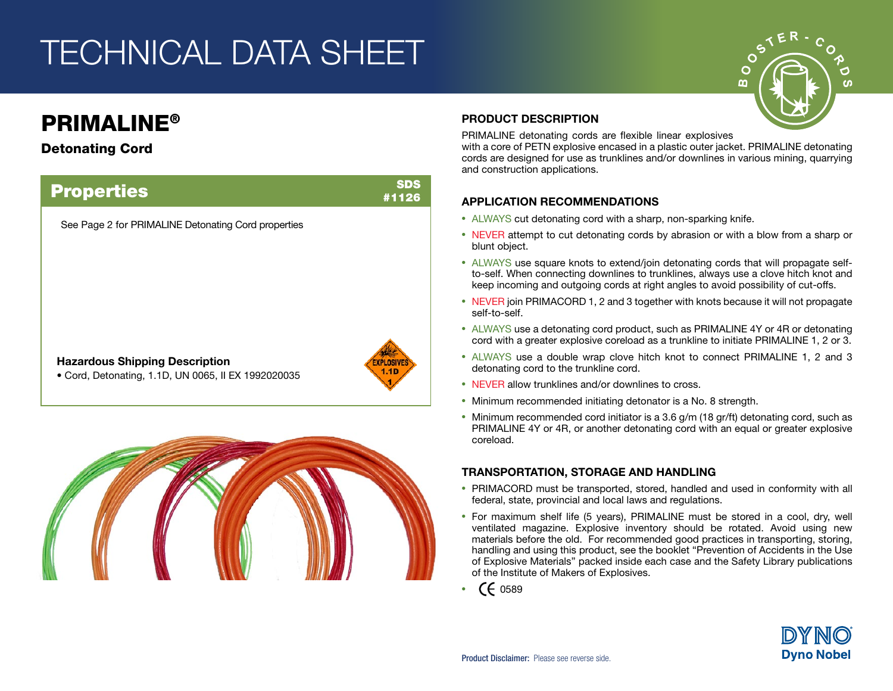# TECHNICAL DATA SHEET

### PRIMALINE®

### Detonating Cord





#### PRODUCT DESCRIPTION

PRIMALINE detonating cords are flexible linear explosives

with a core of PETN explosive encased in a plastic outer jacket. PRIMALINE detonating cords are designed for use as trunklines and/or downlines in various mining, quarrying and construction applications.

O മ

### APPLICATION RECOMMENDATIONS

- **•** ALWAYS cut detonating cord with a sharp, non-sparking knife.
- **•** NEVER attempt to cut detonating cords by abrasion or with a blow from a sharp or blunt object.
- **•** ALWAYS use square knots to extend/join detonating cords that will propagate selfto-self. When connecting downlines to trunklines, always use a clove hitch knot and keep incoming and outgoing cords at right angles to avoid possibility of cut-offs.
- **•** NEVER join PRIMACORD 1, 2 and 3 together with knots because it will not propagate self-to-self.
- **•** ALWAYS use a detonating cord product, such as PRIMALINE 4Y or 4R or detonating cord with a greater explosive coreload as a trunkline to initiate PRIMALINE 1, 2 or 3.
- **•** ALWAYS use a double wrap clove hitch knot to connect PRIMALINE 1, 2 and 3 detonating cord to the trunkline cord.
- **•** NEVER allow trunklines and/or downlines to cross.
- **•** Minimum recommended initiating detonator is a No. 8 strength.
- **•** Minimum recommended cord initiator is a 3.6 g/m (18 gr/ft) detonating cord, such as PRIMALINE 4Y or 4R, or another detonating cord with an equal or greater explosive coreload.

### TRANSPORTATION, STORAGE AND HANDLING

- **•** PRIMACORD must be transported, stored, handled and used in conformity with all federal, state, provincial and local laws and regulations.
- **•** For maximum shelf life (5 years), PRIMALINE must be stored in a cool, dry, well ventilated magazine. Explosive inventory should be rotated. Avoid using new materials before the old. For recommended good practices in transporting, storing, handling and using this product, see the booklet "Prevention of Accidents in the Use of Explosive Materials" packed inside each case and the Safety Library publications of the Institute of Makers of Explosives.
- **•** 0589